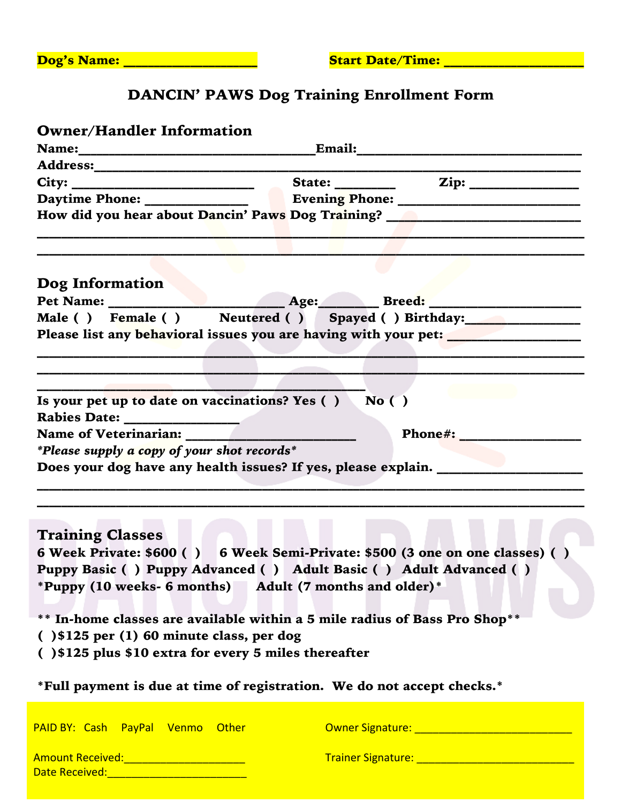| Dog's Name: |
|-------------|
|-------------|

# DANCIN' PAWS Dog Training Enrollment Form

| <b>Owner/Handler Information</b>                                                                              |                                                           |
|---------------------------------------------------------------------------------------------------------------|-----------------------------------------------------------|
|                                                                                                               |                                                           |
|                                                                                                               |                                                           |
|                                                                                                               |                                                           |
|                                                                                                               |                                                           |
| How did you hear about Dancin' Paws Dog Training? ______________________________                              |                                                           |
|                                                                                                               | <u> 1980 - Jan Andrea Stadt, fransk politik (f. 1980)</u> |
| Dog Information                                                                                               |                                                           |
|                                                                                                               |                                                           |
| Male () Female () Neutered () Spayed () Birthday: 19 Male () Female ()                                        |                                                           |
|                                                                                                               |                                                           |
| Please list any behavioral issues you are having with your pet: _________________                             |                                                           |
|                                                                                                               |                                                           |
|                                                                                                               |                                                           |
|                                                                                                               |                                                           |
| Is your pet up to date on vaccinations? Yes () No ()                                                          |                                                           |
|                                                                                                               |                                                           |
|                                                                                                               | Phone#: _________________                                 |
| *Please supply a copy of your shot records*                                                                   |                                                           |
|                                                                                                               |                                                           |
| Does your dog have any health issues? If yes, please explain. ___________________                             |                                                           |
|                                                                                                               |                                                           |
|                                                                                                               |                                                           |
|                                                                                                               |                                                           |
| <b>Training Classes</b>                                                                                       |                                                           |
| 6 Week Private: \$600 () 6 Week Semi-Private: \$500 (3 one on one classes) ()                                 |                                                           |
| Puppy Basic () Puppy Advanced () Adult Basic () Adult Advanced ()                                             |                                                           |
|                                                                                                               |                                                           |
| *Puppy (10 weeks- 6 months) Adult (7 months and older)*                                                       |                                                           |
|                                                                                                               |                                                           |
| ** In-home classes are available within a 5 mile radius of Bass Pro Shop**                                    |                                                           |
| $( ) $125$ per $(1) 60$ minute class, per dog                                                                 |                                                           |
| () \$125 plus \$10 extra for every 5 miles thereafter                                                         |                                                           |
|                                                                                                               |                                                           |
| *Full payment is due at time of registration. We do not accept checks.*                                       |                                                           |
|                                                                                                               |                                                           |
|                                                                                                               |                                                           |
| PAID BY: Cash PayPal Venmo Other                                                                              |                                                           |
|                                                                                                               |                                                           |
| Amount Received:________________________                                                                      |                                                           |
| Date Received: 2008 - 2008 - 2008 - 2010 - 2010 - 2010 - 2011 - 2011 - 2011 - 2011 - 2011 - 2011 - 2011 - 201 |                                                           |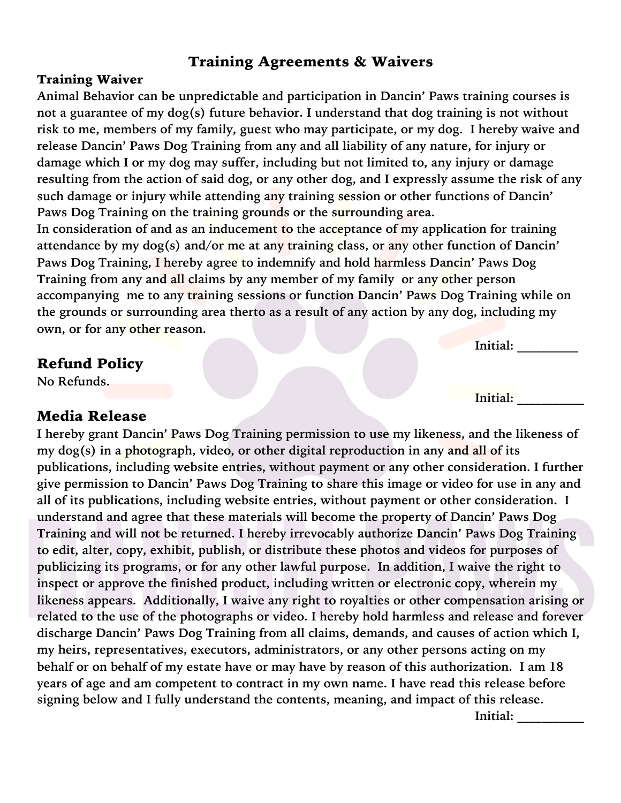### Training Agreements & Waivers

#### Training Waiver

**Animal Behavior can be unpredictable and participation in Dancin' Paws training courses is not a guarantee of my dog(s) future behavior. I understand that dog training is not without risk to me, members of my family, guest who may participate, or my dog. I hereby waive and release Dancin' Paws Dog Training from any and all liability of any nature, for injury or damage which I or my dog may suffer, including but not limited to, any injury or damage resulting from the action of said dog, or any other dog, and I expressly assume the risk of any such damage or injury while attending any training session or other functions of Dancin' Paws Dog Training on the training grounds or the surrounding area.**

**In consideration of and as an inducement to the acceptance of my application for training attendance by my dog(s) and/or me at any training class, or any other function of Dancin' Paws Dog Training, I hereby agree to indemnify and hold harmless Dancin' Paws Dog Training from any and all claims by any member of my family or any other person accompanying me to any training sessions or function Dancin' Paws Dog Training while on the grounds or surrounding area therto as a result of any action by any dog, including my own, or for any other reason.**

#### Refund Policy

**No Refunds.**

### Media Release

**I hereby grant Dancin' Paws Dog Training permission to use my likeness, and the likeness of my dog(s) in a photograph, video, or other digital reproduction in any and all of its publications, including website entries, without payment or any other consideration. I further give permission to Dancin' Paws Dog Training to share this image or video for use in any and all of its publications, including website entries, without payment or other consideration. I understand and agree that these materials will become the property of Dancin' Paws Dog Training and will not be returned. I hereby irrevocably authorize Dancin' Paws Dog Training to edit, alter, copy, exhibit, publish, or distribute these photos and videos for purposes of publicizing its programs, or for any other lawful purpose. In addition, I waive the right to inspect or approve the finished product, including written or electronic copy, wherein my likeness appears. Additionally, I waive any right to royalties or other compensation arising or related to the use of the photographs or video. I hereby hold harmless and release and forever discharge Dancin' Paws Dog Training from all claims, demands, and causes of action which I, my heirs, representatives, executors, administrators, or any other persons acting on my behalf or on behalf of my estate have or may have by reason of this authorization. I am 18 years of age and am competent to contract in my own name. I have read this release before signing below and I fully understand the contents, meaning, and impact of this release.**

**Initial: \_\_\_\_\_\_\_\_\_\_**

**Initial:** 

**Initial: \_\_\_\_\_\_\_\_\_\_\_**